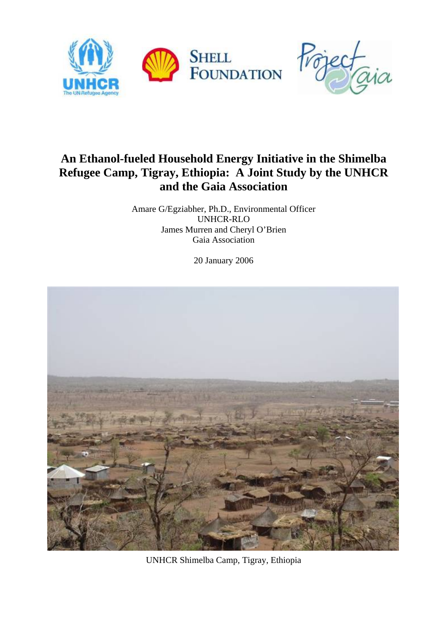

# **An Ethanol-fueled Household Energy Initiative in the Shimelba Refugee Camp, Tigray, Ethiopia: A Joint Study by the UNHCR and the Gaia Association**

Amare G/Egziabher, Ph.D., Environmental Officer UNHCR-RLO James Murren and Cheryl O'Brien Gaia Association

20 January 2006



UNHCR Shimelba Camp, Tigray, Ethiopia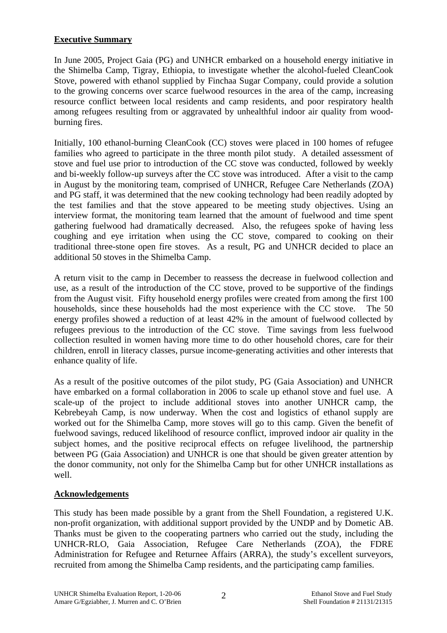### **Executive Summary**

In June 2005, Project Gaia (PG) and UNHCR embarked on a household energy initiative in the Shimelba Camp, Tigray, Ethiopia, to investigate whether the alcohol-fueled CleanCook Stove, powered with ethanol supplied by Finchaa Sugar Company, could provide a solution to the growing concerns over scarce fuelwood resources in the area of the camp, increasing resource conflict between local residents and camp residents, and poor respiratory health among refugees resulting from or aggravated by unhealthful indoor air quality from woodburning fires.

Initially, 100 ethanol-burning CleanCook (CC) stoves were placed in 100 homes of refugee families who agreed to participate in the three month pilot study. A detailed assessment of stove and fuel use prior to introduction of the CC stove was conducted, followed by weekly and bi-weekly follow-up surveys after the CC stove was introduced. After a visit to the camp in August by the monitoring team, comprised of UNHCR, Refugee Care Netherlands (ZOA) and PG staff, it was determined that the new cooking technology had been readily adopted by the test families and that the stove appeared to be meeting study objectives. Using an interview format, the monitoring team learned that the amount of fuelwood and time spent gathering fuelwood had dramatically decreased. Also, the refugees spoke of having less coughing and eye irritation when using the CC stove, compared to cooking on their traditional three-stone open fire stoves. As a result, PG and UNHCR decided to place an additional 50 stoves in the Shimelba Camp.

A return visit to the camp in December to reassess the decrease in fuelwood collection and use, as a result of the introduction of the CC stove, proved to be supportive of the findings from the August visit. Fifty household energy profiles were created from among the first 100 households, since these households had the most experience with the CC stove. The 50 energy profiles showed a reduction of at least 42% in the amount of fuelwood collected by refugees previous to the introduction of the CC stove. Time savings from less fuelwood collection resulted in women having more time to do other household chores, care for their children, enroll in literacy classes, pursue income-generating activities and other interests that enhance quality of life.

As a result of the positive outcomes of the pilot study, PG (Gaia Association) and UNHCR have embarked on a formal collaboration in 2006 to scale up ethanol stove and fuel use. A scale-up of the project to include additional stoves into another UNHCR camp, the Kebrebeyah Camp, is now underway. When the cost and logistics of ethanol supply are worked out for the Shimelba Camp, more stoves will go to this camp. Given the benefit of fuelwood savings, reduced likelihood of resource conflict, improved indoor air quality in the subject homes, and the positive reciprocal effects on refugee livelihood, the partnership between PG (Gaia Association) and UNHCR is one that should be given greater attention by the donor community, not only for the Shimelba Camp but for other UNHCR installations as well.

### **Acknowledgements**

This study has been made possible by a grant from the Shell Foundation, a registered U.K. non-profit organization, with additional support provided by the UNDP and by Dometic AB. Thanks must be given to the cooperating partners who carried out the study, including the UNHCR-RLO, Gaia Association, Refugee Care Netherlands (ZOA), the FDRE Administration for Refugee and Returnee Affairs (ARRA), the study's excellent surveyors, recruited from among the Shimelba Camp residents, and the participating camp families.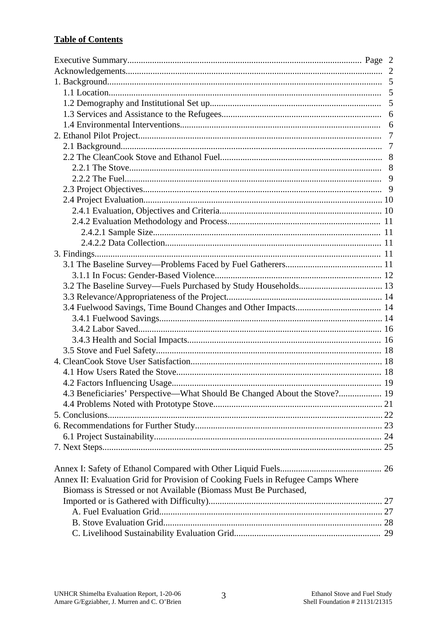# **Table of Contents**

|                                                                                 | 5 |
|---------------------------------------------------------------------------------|---|
|                                                                                 |   |
|                                                                                 |   |
|                                                                                 |   |
|                                                                                 |   |
|                                                                                 |   |
|                                                                                 |   |
|                                                                                 |   |
|                                                                                 |   |
|                                                                                 |   |
|                                                                                 |   |
|                                                                                 |   |
|                                                                                 |   |
|                                                                                 |   |
|                                                                                 |   |
|                                                                                 |   |
|                                                                                 |   |
|                                                                                 |   |
|                                                                                 |   |
|                                                                                 |   |
|                                                                                 |   |
|                                                                                 |   |
|                                                                                 |   |
|                                                                                 |   |
|                                                                                 |   |
|                                                                                 |   |
|                                                                                 |   |
| 4.3 Beneficiaries' Perspective—What Should Be Changed About the Stove? 19       |   |
|                                                                                 |   |
|                                                                                 |   |
|                                                                                 |   |
|                                                                                 |   |
|                                                                                 |   |
|                                                                                 |   |
| Annex II: Evaluation Grid for Provision of Cooking Fuels in Refugee Camps Where |   |
| Biomass is Stressed or not Available (Biomass Must Be Purchased,                |   |
|                                                                                 |   |
|                                                                                 |   |
|                                                                                 |   |
|                                                                                 |   |
|                                                                                 |   |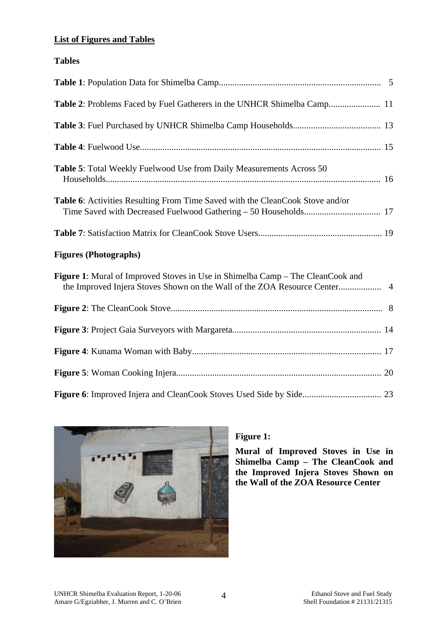# **List of Figures and Tables**

# **Tables**

| Table 2: Problems Faced by Fuel Gatherers in the UNHCR Shimelba Camp 11                                                                                     |
|-------------------------------------------------------------------------------------------------------------------------------------------------------------|
|                                                                                                                                                             |
|                                                                                                                                                             |
| Table 5: Total Weekly Fuelwood Use from Daily Measurements Across 50                                                                                        |
| Table 6: Activities Resulting From Time Saved with the CleanCook Stove and/or                                                                               |
|                                                                                                                                                             |
| <b>Figures (Photographs)</b>                                                                                                                                |
| Figure 1: Mural of Improved Stoves in Use in Shimelba Camp - The CleanCook and<br>the Improved Injera Stoves Shown on the Wall of the ZOA Resource Center 4 |
|                                                                                                                                                             |
|                                                                                                                                                             |
|                                                                                                                                                             |
|                                                                                                                                                             |
|                                                                                                                                                             |



# **Figure 1:**

**Mural of Improved Stoves in Use in Shimelba Camp – The CleanCook and the Improved Injera Stoves Shown on the Wall of the ZOA Resource Center**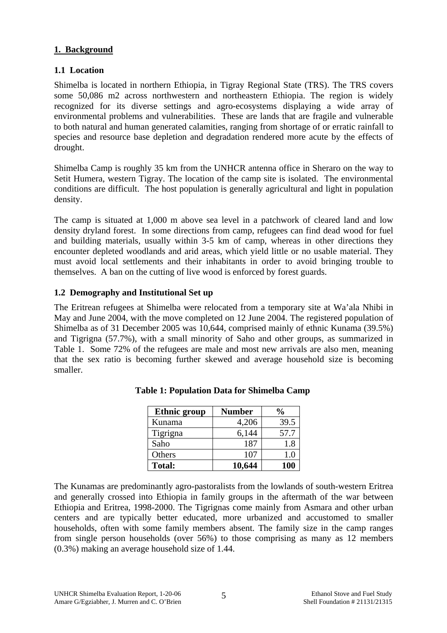### **1. Background**

# **1.1 Location**

Shimelba is located in northern Ethiopia, in Tigray Regional State (TRS). The TRS covers some 50,086 m2 across northwestern and northeastern Ethiopia. The region is widely recognized for its diverse settings and agro-ecosystems displaying a wide array of environmental problems and vulnerabilities. These are lands that are fragile and vulnerable to both natural and human generated calamities, ranging from shortage of or erratic rainfall to species and resource base depletion and degradation rendered more acute by the effects of drought.

Shimelba Camp is roughly 35 km from the UNHCR antenna office in Sheraro on the way to Setit Humera, western Tigray. The location of the camp site is isolated. The environmental conditions are difficult. The host population is generally agricultural and light in population density.

The camp is situated at 1,000 m above sea level in a patchwork of cleared land and low density dryland forest. In some directions from camp, refugees can find dead wood for fuel and building materials, usually within 3-5 km of camp, whereas in other directions they encounter depleted woodlands and arid areas, which yield little or no usable material. They must avoid local settlements and their inhabitants in order to avoid bringing trouble to themselves. A ban on the cutting of live wood is enforced by forest guards.

### **1.2 Demography and Institutional Set up**

The Eritrean refugees at Shimelba were relocated from a temporary site at Wa'ala Nhibi in May and June 2004, with the move completed on 12 June 2004. The registered population of Shimelba as of 31 December 2005 was 10,644, comprised mainly of ethnic Kunama (39.5%) and Tigrigna (57.7%), with a small minority of Saho and other groups, as summarized in Table 1. Some 72% of the refugees are male and most new arrivals are also men, meaning that the sex ratio is becoming further skewed and average household size is becoming smaller.

| <b>Ethnic group</b> | <b>Number</b> | $\frac{0}{0}$ |
|---------------------|---------------|---------------|
| Kunama              | 4,206         | 39.5          |
| Tigrigna            | 6,144         | 57.7          |
| Saho                | 187           | 1.8           |
| Others              | 107           | 1.0           |
| <b>Total:</b>       | 10,644        | 100           |

# **Table 1: Population Data for Shimelba Camp**

The Kunamas are predominantly agro-pastoralists from the lowlands of south-western Eritrea and generally crossed into Ethiopia in family groups in the aftermath of the war between Ethiopia and Eritrea, 1998-2000. The Tigrignas come mainly from Asmara and other urban centers and are typically better educated, more urbanized and accustomed to smaller households, often with some family members absent. The family size in the camp ranges from single person households (over 56%) to those comprising as many as 12 members (0.3%) making an average household size of 1.44.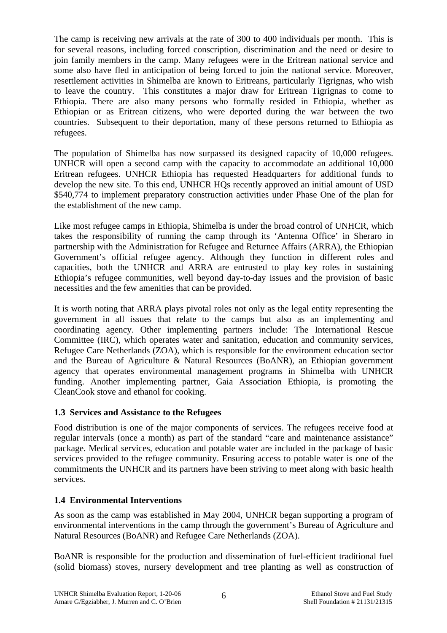The camp is receiving new arrivals at the rate of 300 to 400 individuals per month. This is for several reasons, including forced conscription, discrimination and the need or desire to join family members in the camp. Many refugees were in the Eritrean national service and some also have fled in anticipation of being forced to join the national service. Moreover, resettlement activities in Shimelba are known to Eritreans, particularly Tigrignas, who wish to leave the country. This constitutes a major draw for Eritrean Tigrignas to come to Ethiopia. There are also many persons who formally resided in Ethiopia, whether as Ethiopian or as Eritrean citizens, who were deported during the war between the two countries. Subsequent to their deportation, many of these persons returned to Ethiopia as refugees.

The population of Shimelba has now surpassed its designed capacity of 10,000 refugees. UNHCR will open a second camp with the capacity to accommodate an additional 10,000 Eritrean refugees. UNHCR Ethiopia has requested Headquarters for additional funds to develop the new site. To this end, UNHCR HQs recently approved an initial amount of USD \$540,774 to implement preparatory construction activities under Phase One of the plan for the establishment of the new camp.

Like most refugee camps in Ethiopia, Shimelba is under the broad control of UNHCR, which takes the responsibility of running the camp through its 'Antenna Office' in Sheraro in partnership with the Administration for Refugee and Returnee Affairs (ARRA), the Ethiopian Government's official refugee agency. Although they function in different roles and capacities, both the UNHCR and ARRA are entrusted to play key roles in sustaining Ethiopia's refugee communities, well beyond day-to-day issues and the provision of basic necessities and the few amenities that can be provided.

It is worth noting that ARRA plays pivotal roles not only as the legal entity representing the government in all issues that relate to the camps but also as an implementing and coordinating agency. Other implementing partners include: The International Rescue Committee (IRC), which operates water and sanitation, education and community services, Refugee Care Netherlands (ZOA), which is responsible for the environment education sector and the Bureau of Agriculture & Natural Resources (BoANR), an Ethiopian government agency that operates environmental management programs in Shimelba with UNHCR funding. Another implementing partner, Gaia Association Ethiopia, is promoting the CleanCook stove and ethanol for cooking.

# **1.3 Services and Assistance to the Refugees**

Food distribution is one of the major components of services. The refugees receive food at regular intervals (once a month) as part of the standard "care and maintenance assistance" package. Medical services, education and potable water are included in the package of basic services provided to the refugee community. Ensuring access to potable water is one of the commitments the UNHCR and its partners have been striving to meet along with basic health services.

# **1.4 Environmental Interventions**

As soon as the camp was established in May 2004, UNHCR began supporting a program of environmental interventions in the camp through the government's Bureau of Agriculture and Natural Resources (BoANR) and Refugee Care Netherlands (ZOA).

BoANR is responsible for the production and dissemination of fuel-efficient traditional fuel (solid biomass) stoves, nursery development and tree planting as well as construction of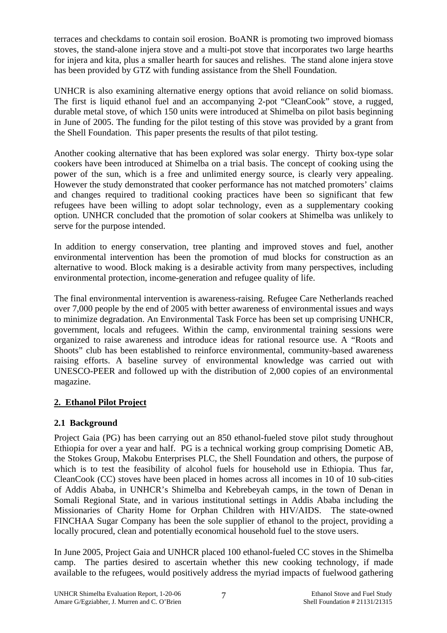terraces and checkdams to contain soil erosion. BoANR is promoting two improved biomass stoves, the stand-alone injera stove and a multi-pot stove that incorporates two large hearths for injera and kita, plus a smaller hearth for sauces and relishes. The stand alone injera stove has been provided by GTZ with funding assistance from the Shell Foundation.

UNHCR is also examining alternative energy options that avoid reliance on solid biomass. The first is liquid ethanol fuel and an accompanying 2-pot "CleanCook" stove, a rugged, durable metal stove, of which 150 units were introduced at Shimelba on pilot basis beginning in June of 2005. The funding for the pilot testing of this stove was provided by a grant from the Shell Foundation. This paper presents the results of that pilot testing.

Another cooking alternative that has been explored was solar energy. Thirty box-type solar cookers have been introduced at Shimelba on a trial basis. The concept of cooking using the power of the sun, which is a free and unlimited energy source, is clearly very appealing. However the study demonstrated that cooker performance has not matched promoters' claims and changes required to traditional cooking practices have been so significant that few refugees have been willing to adopt solar technology, even as a supplementary cooking option. UNHCR concluded that the promotion of solar cookers at Shimelba was unlikely to serve for the purpose intended.

In addition to energy conservation, tree planting and improved stoves and fuel, another environmental intervention has been the promotion of mud blocks for construction as an alternative to wood. Block making is a desirable activity from many perspectives, including environmental protection, income-generation and refugee quality of life.

The final environmental intervention is awareness-raising. Refugee Care Netherlands reached over 7,000 people by the end of 2005 with better awareness of environmental issues and ways to minimize degradation. An Environmental Task Force has been set up comprising UNHCR, government, locals and refugees. Within the camp, environmental training sessions were organized to raise awareness and introduce ideas for rational resource use. A "Roots and Shoots" club has been established to reinforce environmental, community-based awareness raising efforts. A baseline survey of environmental knowledge was carried out with UNESCO-PEER and followed up with the distribution of 2,000 copies of an environmental magazine.

# **2. Ethanol Pilot Project**

# **2.1 Background**

Project Gaia (PG) has been carrying out an 850 ethanol-fueled stove pilot study throughout Ethiopia for over a year and half. PG is a technical working group comprising Dometic AB, the Stokes Group, Makobu Enterprises PLC, the Shell Foundation and others, the purpose of which is to test the feasibility of alcohol fuels for household use in Ethiopia. Thus far, CleanCook (CC) stoves have been placed in homes across all incomes in 10 of 10 sub-cities of Addis Ababa, in UNHCR's Shimelba and Kebrebeyah camps, in the town of Denan in Somali Regional State, and in various institutional settings in Addis Ababa including the Missionaries of Charity Home for Orphan Children with HIV/AIDS. The state-owned FINCHAA Sugar Company has been the sole supplier of ethanol to the project, providing a locally procured, clean and potentially economical household fuel to the stove users.

In June 2005, Project Gaia and UNHCR placed 100 ethanol-fueled CC stoves in the Shimelba camp. The parties desired to ascertain whether this new cooking technology, if made available to the refugees, would positively address the myriad impacts of fuelwood gathering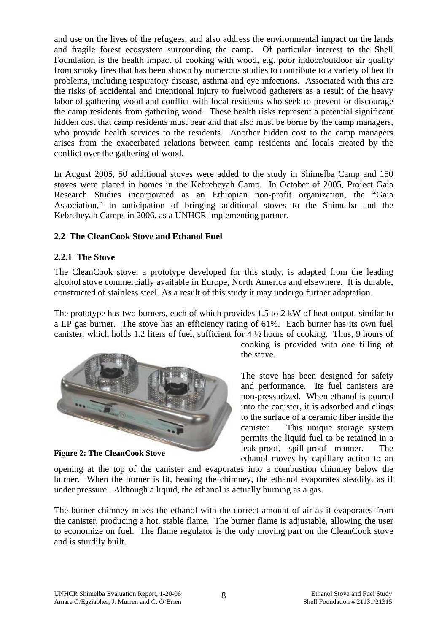and use on the lives of the refugees, and also address the environmental impact on the lands and fragile forest ecosystem surrounding the camp. Of particular interest to the Shell Foundation is the health impact of cooking with wood, e.g. poor indoor/outdoor air quality from smoky fires that has been shown by numerous studies to contribute to a variety of health problems, including respiratory disease, asthma and eye infections. Associated with this are the risks of accidental and intentional injury to fuelwood gatherers as a result of the heavy labor of gathering wood and conflict with local residents who seek to prevent or discourage the camp residents from gathering wood. These health risks represent a potential significant hidden cost that camp residents must bear and that also must be borne by the camp managers, who provide health services to the residents. Another hidden cost to the camp managers arises from the exacerbated relations between camp residents and locals created by the conflict over the gathering of wood.

In August 2005, 50 additional stoves were added to the study in Shimelba Camp and 150 stoves were placed in homes in the Kebrebeyah Camp. In October of 2005, Project Gaia Research Studies incorporated as an Ethiopian non-profit organization, the "Gaia Association," in anticipation of bringing additional stoves to the Shimelba and the Kebrebeyah Camps in 2006, as a UNHCR implementing partner.

### **2.2 The CleanCook Stove and Ethanol Fuel**

### **2.2.1 The Stove**

The CleanCook stove, a prototype developed for this study, is adapted from the leading alcohol stove commercially available in Europe, North America and elsewhere. It is durable, constructed of stainless steel. As a result of this study it may undergo further adaptation.

The prototype has two burners, each of which provides 1.5 to 2 kW of heat output, similar to a LP gas burner. The stove has an efficiency rating of 61%. Each burner has its own fuel canister, which holds 1.2 liters of fuel, sufficient for 4 ½ hours of cooking. Thus, 9 hours of



**Figure 2: The CleanCook Stove** 

cooking is provided with one filling of the stove.

The stove has been designed for safety and performance. Its fuel canisters are non-pressurized. When ethanol is poured into the canister, it is adsorbed and clings to the surface of a ceramic fiber inside the canister. This unique storage system permits the liquid fuel to be retained in a leak-proof, spill-proof manner. The ethanol moves by capillary action to an

opening at the top of the canister and evaporates into a combustion chimney below the burner. When the burner is lit, heating the chimney, the ethanol evaporates steadily, as if under pressure. Although a liquid, the ethanol is actually burning as a gas.

The burner chimney mixes the ethanol with the correct amount of air as it evaporates from the canister, producing a hot, stable flame. The burner flame is adjustable, allowing the user to economize on fuel. The flame regulator is the only moving part on the CleanCook stove and is sturdily built.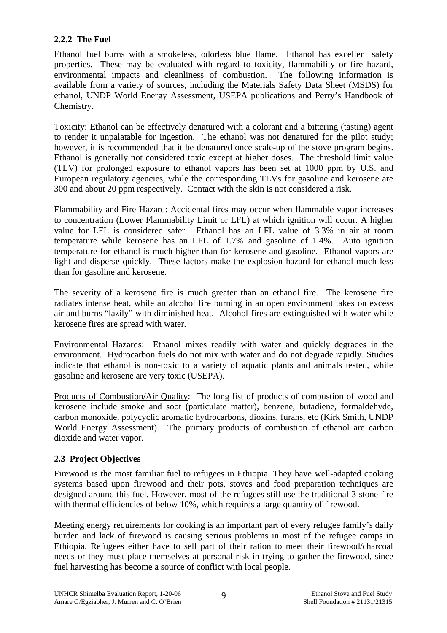### **2.2.2 The Fuel**

Ethanol fuel burns with a smokeless, odorless blue flame. Ethanol has excellent safety properties. These may be evaluated with regard to toxicity, flammability or fire hazard, environmental impacts and cleanliness of combustion. The following information is available from a variety of sources, including the Materials Safety Data Sheet (MSDS) for ethanol, UNDP World Energy Assessment, USEPA publications and Perry's Handbook of Chemistry.

Toxicity: Ethanol can be effectively denatured with a colorant and a bittering (tasting) agent to render it unpalatable for ingestion. The ethanol was not denatured for the pilot study; however, it is recommended that it be denatured once scale-up of the stove program begins. Ethanol is generally not considered toxic except at higher doses. The threshold limit value (TLV) for prolonged exposure to ethanol vapors has been set at 1000 ppm by U.S. and European regulatory agencies, while the corresponding TLVs for gasoline and kerosene are 300 and about 20 ppm respectively. Contact with the skin is not considered a risk.

Flammability and Fire Hazard: Accidental fires may occur when flammable vapor increases to concentration (Lower Flammability Limit or LFL) at which ignition will occur. A higher value for LFL is considered safer. Ethanol has an LFL value of 3.3% in air at room temperature while kerosene has an LFL of 1.7% and gasoline of 1.4%. Auto ignition temperature for ethanol is much higher than for kerosene and gasoline. Ethanol vapors are light and disperse quickly. These factors make the explosion hazard for ethanol much less than for gasoline and kerosene.

The severity of a kerosene fire is much greater than an ethanol fire. The kerosene fire radiates intense heat, while an alcohol fire burning in an open environment takes on excess air and burns "lazily" with diminished heat. Alcohol fires are extinguished with water while kerosene fires are spread with water.

Environmental Hazards: Ethanol mixes readily with water and quickly degrades in the environment. Hydrocarbon fuels do not mix with water and do not degrade rapidly. Studies indicate that ethanol is non-toxic to a variety of aquatic plants and animals tested, while gasoline and kerosene are very toxic (USEPA).

Products of Combustion/Air Quality: The long list of products of combustion of wood and kerosene include smoke and soot (particulate matter), benzene, butadiene, formaldehyde, carbon monoxide, polycyclic aromatic hydrocarbons, dioxins, furans, etc (Kirk Smith, UNDP World Energy Assessment). The primary products of combustion of ethanol are carbon dioxide and water vapor.

# **2.3 Project Objectives**

Firewood is the most familiar fuel to refugees in Ethiopia. They have well-adapted cooking systems based upon firewood and their pots, stoves and food preparation techniques are designed around this fuel. However, most of the refugees still use the traditional 3-stone fire with thermal efficiencies of below 10%, which requires a large quantity of firewood.

Meeting energy requirements for cooking is an important part of every refugee family's daily burden and lack of firewood is causing serious problems in most of the refugee camps in Ethiopia. Refugees either have to sell part of their ration to meet their firewood/charcoal needs or they must place themselves at personal risk in trying to gather the firewood, since fuel harvesting has become a source of conflict with local people.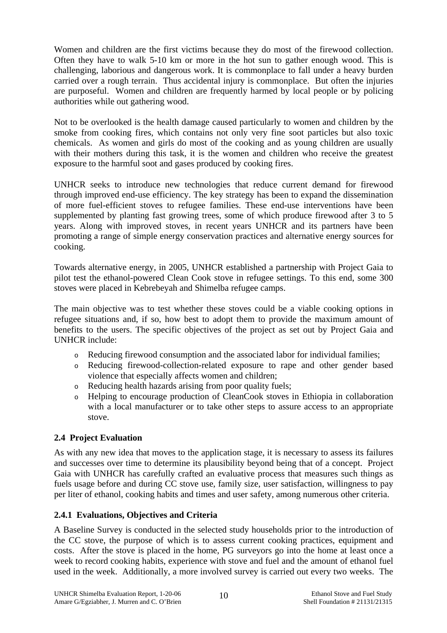Women and children are the first victims because they do most of the firewood collection. Often they have to walk 5-10 km or more in the hot sun to gather enough wood. This is challenging, laborious and dangerous work. It is commonplace to fall under a heavy burden carried over a rough terrain. Thus accidental injury is commonplace. But often the injuries are purposeful. Women and children are frequently harmed by local people or by policing authorities while out gathering wood.

Not to be overlooked is the health damage caused particularly to women and children by the smoke from cooking fires, which contains not only very fine soot particles but also toxic chemicals. As women and girls do most of the cooking and as young children are usually with their mothers during this task, it is the women and children who receive the greatest exposure to the harmful soot and gases produced by cooking fires.

UNHCR seeks to introduce new technologies that reduce current demand for firewood through improved end-use efficiency. The key strategy has been to expand the dissemination of more fuel-efficient stoves to refugee families. These end-use interventions have been supplemented by planting fast growing trees, some of which produce firewood after 3 to 5 years. Along with improved stoves, in recent years UNHCR and its partners have been promoting a range of simple energy conservation practices and alternative energy sources for cooking.

Towards alternative energy, in 2005, UNHCR established a partnership with Project Gaia to pilot test the ethanol-powered Clean Cook stove in refugee settings. To this end, some 300 stoves were placed in Kebrebeyah and Shimelba refugee camps.

The main objective was to test whether these stoves could be a viable cooking options in refugee situations and, if so, how best to adopt them to provide the maximum amount of benefits to the users. The specific objectives of the project as set out by Project Gaia and UNHCR include:

- o Reducing firewood consumption and the associated labor for individual families;
- o Reducing firewood-collection-related exposure to rape and other gender based violence that especially affects women and children;
- o Reducing health hazards arising from poor quality fuels;
- o Helping to encourage production of CleanCook stoves in Ethiopia in collaboration with a local manufacturer or to take other steps to assure access to an appropriate stove.

# **2.4 Project Evaluation**

As with any new idea that moves to the application stage, it is necessary to assess its failures and successes over time to determine its plausibility beyond being that of a concept. Project Gaia with UNHCR has carefully crafted an evaluative process that measures such things as fuels usage before and during CC stove use, family size, user satisfaction, willingness to pay per liter of ethanol, cooking habits and times and user safety, among numerous other criteria.

# **2.4.1 Evaluations, Objectives and Criteria**

A Baseline Survey is conducted in the selected study households prior to the introduction of the CC stove, the purpose of which is to assess current cooking practices, equipment and costs. After the stove is placed in the home, PG surveyors go into the home at least once a week to record cooking habits, experience with stove and fuel and the amount of ethanol fuel used in the week. Additionally, a more involved survey is carried out every two weeks. The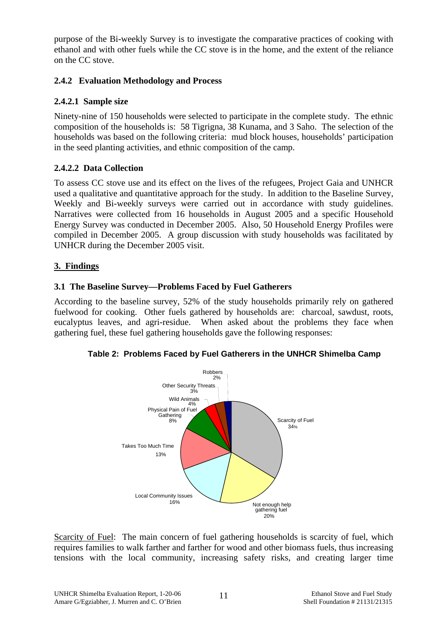purpose of the Bi-weekly Survey is to investigate the comparative practices of cooking with ethanol and with other fuels while the CC stove is in the home, and the extent of the reliance on the CC stove.

### **2.4.2 Evaluation Methodology and Process**

### **2.4.2.1 Sample size**

Ninety-nine of 150 households were selected to participate in the complete study. The ethnic composition of the households is: 58 Tigrigna, 38 Kunama, and 3 Saho. The selection of the households was based on the following criteria: mud block houses, households' participation in the seed planting activities, and ethnic composition of the camp.

### **2.4.2.2 Data Collection**

To assess CC stove use and its effect on the lives of the refugees, Project Gaia and UNHCR used a qualitative and quantitative approach for the study. In addition to the Baseline Survey, Weekly and Bi-weekly surveys were carried out in accordance with study guidelines. Narratives were collected from 16 households in August 2005 and a specific Household Energy Survey was conducted in December 2005. Also, 50 Household Energy Profiles were compiled in December 2005. A group discussion with study households was facilitated by UNHCR during the December 2005 visit.

### **3. Findings**

### **3.1 The Baseline Survey—Problems Faced by Fuel Gatherers**

According to the baseline survey, 52% of the study households primarily rely on gathered fuelwood for cooking. Other fuels gathered by households are: charcoal, sawdust, roots, eucalyptus leaves, and agri-residue. When asked about the problems they face when gathering fuel, these fuel gathering households gave the following responses:



### **Table 2: Problems Faced by Fuel Gatherers in the UNHCR Shimelba Camp**

Scarcity of Fuel: The main concern of fuel gathering households is scarcity of fuel, which requires families to walk farther and farther for wood and other biomass fuels, thus increasing tensions with the local community, increasing safety risks, and creating larger time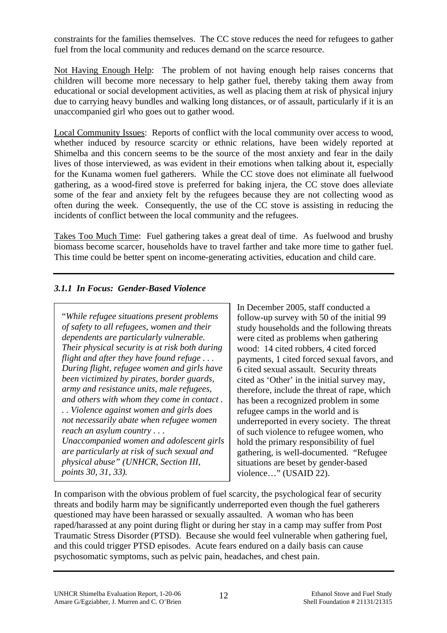constraints for the families themselves. The CC stove reduces the need for refugees to gather fuel from the local community and reduces demand on the scarce resource.

Not Having Enough Help: The problem of not having enough help raises concerns that children will become more necessary to help gather fuel, thereby taking them away from educational or social development activities, as well as placing them at risk of physical injury due to carrying heavy bundles and walking long distances, or of assault, particularly if it is an unaccompanied girl who goes out to gather wood.

Local Community Issues: Reports of conflict with the local community over access to wood, whether induced by resource scarcity or ethnic relations, have been widely reported at Shimelba and this concern seems to be the source of the most anxiety and fear in the daily lives of those interviewed, as was evident in their emotions when talking about it, especially for the Kunama women fuel gatherers. While the CC stove does not eliminate all fuelwood gathering, as a wood-fired stove is preferred for baking injera, the CC stove does alleviate some of the fear and anxiety felt by the refugees because they are not collecting wood as often during the week. Consequently, the use of the CC stove is assisting in reducing the incidents of conflict between the local community and the refugees.

Takes Too Much Time: Fuel gathering takes a great deal of time. As fuelwood and brushy biomass become scarcer, households have to travel farther and take more time to gather fuel. This time could be better spent on income-generating activities, education and child care.

# *3.1.1**In Focus: Gender-Based Violence*

"*While refugee situations present problems of safety to all refugees, women and their dependents are particularly vulnerable. Their physical security is at risk both during flight and after they have found refuge . . . During flight, refugee women and girls have been victimized by pirates, border guards, army and resistance units, male refugees, and others with whom they come in contact . . . Violence against women and girls does not necessarily abate when refugee women reach an asylum country . . . Unaccompanied women and adolescent girls are particularly at risk of such sexual and physical abuse" (UNHCR, Section III, points 30, 31, 33).* 

In December 2005, staff conducted a follow-up survey with 50 of the initial 99 study households and the following threats were cited as problems when gathering wood: 14 cited robbers, 4 cited forced payments, 1 cited forced sexual favors, and 6 cited sexual assault. Security threats cited as 'Other' in the initial survey may, therefore, include the threat of rape, which has been a recognized problem in some refugee camps in the world and is underreported in every society. The threat of such violence to refugee women, who hold the primary responsibility of fuel gathering, is well-documented. "Refugee situations are beset by gender-based violence…" (USAID 22).

In comparison with the obvious problem of fuel scarcity, the psychological fear of security threats and bodily harm may be significantly underreported even though the fuel gatherers questioned may have been harassed or sexually assaulted. A woman who has been raped/harassed at any point during flight or during her stay in a camp may suffer from Post Traumatic Stress Disorder (PTSD). Because she would feel vulnerable when gathering fuel, and this could trigger PTSD episodes. Acute fears endured on a daily basis can cause psychosomatic symptoms, such as pelvic pain, headaches, and chest pain.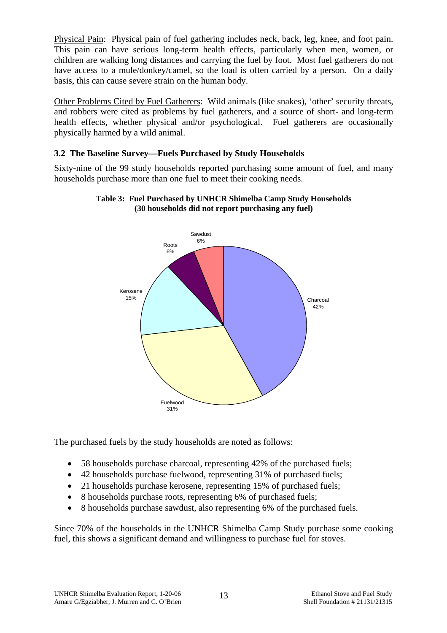Physical Pain: Physical pain of fuel gathering includes neck, back, leg, knee, and foot pain. This pain can have serious long-term health effects, particularly when men, women, or children are walking long distances and carrying the fuel by foot. Most fuel gatherers do not have access to a mule/donkey/camel, so the load is often carried by a person. On a daily basis, this can cause severe strain on the human body.

Other Problems Cited by Fuel Gatherers: Wild animals (like snakes), 'other' security threats, and robbers were cited as problems by fuel gatherers, and a source of short- and long-term health effects, whether physical and/or psychological. Fuel gatherers are occasionally physically harmed by a wild animal.

# **3.2 The Baseline Survey—Fuels Purchased by Study Households**

Sixty-nine of the 99 study households reported purchasing some amount of fuel, and many households purchase more than one fuel to meet their cooking needs.



#### **Table 3: Fuel Purchased by UNHCR Shimelba Camp Study Households (30 households did not report purchasing any fuel)**

The purchased fuels by the study households are noted as follows:

- 58 households purchase charcoal, representing 42% of the purchased fuels;
- 42 households purchase fuelwood, representing 31% of purchased fuels;
- 21 households purchase kerosene, representing 15% of purchased fuels;
- 8 households purchase roots, representing 6% of purchased fuels;
- 8 households purchase sawdust, also representing 6% of the purchased fuels.

Since 70% of the households in the UNHCR Shimelba Camp Study purchase some cooking fuel, this shows a significant demand and willingness to purchase fuel for stoves.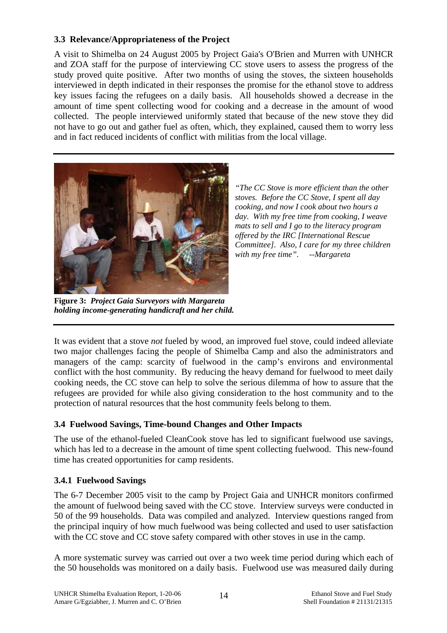### **3.3 Relevance/Appropriateness of the Project**

A visit to Shimelba on 24 August 2005 by Project Gaia's O'Brien and Murren with UNHCR and ZOA staff for the purpose of interviewing CC stove users to assess the progress of the study proved quite positive. After two months of using the stoves, the sixteen households interviewed in depth indicated in their responses the promise for the ethanol stove to address key issues facing the refugees on a daily basis. All households showed a decrease in the amount of time spent collecting wood for cooking and a decrease in the amount of wood collected. The people interviewed uniformly stated that because of the new stove they did not have to go out and gather fuel as often, which, they explained, caused them to worry less and in fact reduced incidents of conflict with militias from the local village.



*"The CC Stove is more efficient than the other stoves. Before the CC Stove, I spent all day cooking, and now I cook about two hours a day. With my free time from cooking, I weave mats to sell and I go to the literacy program offered by the IRC [International Rescue Committee]. Also, I care for my three children with my free time". --Margareta* 

**Figure 3:** *Project Gaia Surveyors with Margareta holding income-generating handicraft and her child.*

It was evident that a stove *not* fueled by wood, an improved fuel stove, could indeed alleviate two major challenges facing the people of Shimelba Camp and also the administrators and managers of the camp: scarcity of fuelwood in the camp's environs and environmental conflict with the host community. By reducing the heavy demand for fuelwood to meet daily cooking needs, the CC stove can help to solve the serious dilemma of how to assure that the refugees are provided for while also giving consideration to the host community and to the protection of natural resources that the host community feels belong to them.

# **3.4 Fuelwood Savings, Time-bound Changes and Other Impacts**

The use of the ethanol-fueled CleanCook stove has led to significant fuelwood use savings, which has led to a decrease in the amount of time spent collecting fuelwood. This new-found time has created opportunities for camp residents.

# **3.4.1 Fuelwood Savings**

The 6-7 December 2005 visit to the camp by Project Gaia and UNHCR monitors confirmed the amount of fuelwood being saved with the CC stove. Interview surveys were conducted in 50 of the 99 households. Data was compiled and analyzed. Interview questions ranged from the principal inquiry of how much fuelwood was being collected and used to user satisfaction with the CC stove and CC stove safety compared with other stoves in use in the camp.

A more systematic survey was carried out over a two week time period during which each of the 50 households was monitored on a daily basis. Fuelwood use was measured daily during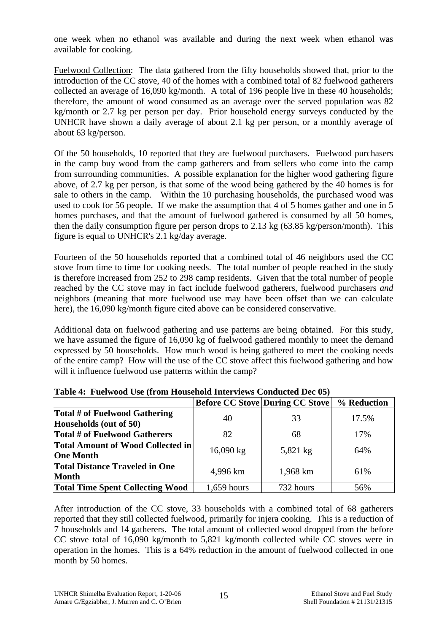one week when no ethanol was available and during the next week when ethanol was available for cooking.

Fuelwood Collection: The data gathered from the fifty households showed that, prior to the introduction of the CC stove, 40 of the homes with a combined total of 82 fuelwood gatherers collected an average of 16,090 kg/month. A total of 196 people live in these 40 households; therefore, the amount of wood consumed as an average over the served population was 82 kg/month or 2.7 kg per person per day. Prior household energy surveys conducted by the UNHCR have shown a daily average of about 2.1 kg per person, or a monthly average of about 63 kg/person.

Of the 50 households, 10 reported that they are fuelwood purchasers. Fuelwood purchasers in the camp buy wood from the camp gatherers and from sellers who come into the camp from surrounding communities. A possible explanation for the higher wood gathering figure above, of 2.7 kg per person, is that some of the wood being gathered by the 40 homes is for sale to others in the camp. Within the 10 purchasing households, the purchased wood was used to cook for 56 people. If we make the assumption that 4 of 5 homes gather and one in 5 homes purchases, and that the amount of fuelwood gathered is consumed by all 50 homes, then the daily consumption figure per person drops to 2.13 kg (63.85 kg/person/month). This figure is equal to UNHCR's 2.1 kg/day average.

Fourteen of the 50 households reported that a combined total of 46 neighbors used the CC stove from time to time for cooking needs. The total number of people reached in the study is therefore increased from 252 to 298 camp residents. Given that the total number of people reached by the CC stove may in fact include fuelwood gatherers, fuelwood purchasers *and* neighbors (meaning that more fuelwood use may have been offset than we can calculate here), the 16,090 kg/month figure cited above can be considered conservative.

Additional data on fuelwood gathering and use patterns are being obtained. For this study, we have assumed the figure of 16,090 kg of fuelwood gathered monthly to meet the demand expressed by 50 households. How much wood is being gathered to meet the cooking needs of the entire camp? How will the use of the CC stove affect this fuelwood gathering and how will it influence fuelwood use patterns within the camp?

|                                          |             | <b>Before CC Stove During CC Stove</b> | % Reduction |
|------------------------------------------|-------------|----------------------------------------|-------------|
| Total # of Fuelwood Gathering            | 40          | 33                                     | 17.5%       |
| Households (out of 50)                   |             |                                        |             |
| Total # of Fuelwood Gatherers            | 82          | 68                                     | 17%         |
| <b>Total Amount of Wood Collected in</b> | 16,090 kg   | 5,821 kg                               | 64%         |
| <b>One Month</b>                         |             |                                        |             |
| <b>Total Distance Traveled in One</b>    |             |                                        | 61%         |
| <b>Month</b>                             | 4,996 km    | 1,968 km                               |             |
| <b>Total Time Spent Collecting Wood</b>  | 1,659 hours | 732 hours                              | 56%         |

**Table 4: Fuelwood Use (from Household Interviews Conducted Dec 05)** 

After introduction of the CC stove, 33 households with a combined total of 68 gatherers reported that they still collected fuelwood, primarily for injera cooking. This is a reduction of 7 households and 14 gatherers. The total amount of collected wood dropped from the before CC stove total of 16,090 kg/month to 5,821 kg/month collected while CC stoves were in operation in the homes. This is a 64% reduction in the amount of fuelwood collected in one month by 50 homes.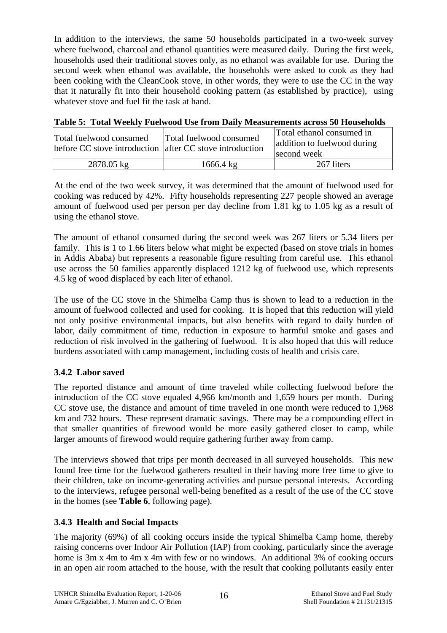In addition to the interviews, the same 50 households participated in a two-week survey where fuelwood, charcoal and ethanol quantities were measured daily. During the first week, households used their traditional stoves only, as no ethanol was available for use. During the second week when ethanol was available, the households were asked to cook as they had been cooking with the CleanCook stove, in other words, they were to use the CC in the way that it naturally fit into their household cooking pattern (as established by practice), using whatever stove and fuel fit the task at hand.

| Total fuelwood consumed<br>before CC stove introduction after CC stove introduction | Total fuelwood consumed | Total ethanol consumed in<br>addition to fuelwood during<br>second week |
|-------------------------------------------------------------------------------------|-------------------------|-------------------------------------------------------------------------|
| 2878.05 kg                                                                          | $1666.4 \text{ kg}$     | 267 liters                                                              |

|  |  |  |  |  |  | Table 5: Total Weekly Fuelwood Use from Daily Measurements across 50 Households |
|--|--|--|--|--|--|---------------------------------------------------------------------------------|
|--|--|--|--|--|--|---------------------------------------------------------------------------------|

At the end of the two week survey, it was determined that the amount of fuelwood used for cooking was reduced by 42%. Fifty households representing 227 people showed an average amount of fuelwood used per person per day decline from 1.81 kg to 1.05 kg as a result of using the ethanol stove.

The amount of ethanol consumed during the second week was 267 liters or 5.34 liters per family. This is 1 to 1.66 liters below what might be expected (based on stove trials in homes in Addis Ababa) but represents a reasonable figure resulting from careful use. This ethanol use across the 50 families apparently displaced 1212 kg of fuelwood use, which represents 4.5 kg of wood displaced by each liter of ethanol.

The use of the CC stove in the Shimelba Camp thus is shown to lead to a reduction in the amount of fuelwood collected and used for cooking. It is hoped that this reduction will yield not only positive environmental impacts, but also benefits with regard to daily burden of labor, daily commitment of time, reduction in exposure to harmful smoke and gases and reduction of risk involved in the gathering of fuelwood. It is also hoped that this will reduce burdens associated with camp management, including costs of health and crisis care.

# **3.4.2 Labor saved**

The reported distance and amount of time traveled while collecting fuelwood before the introduction of the CC stove equaled 4,966 km/month and 1,659 hours per month. During CC stove use, the distance and amount of time traveled in one month were reduced to 1,968 km and 732 hours. These represent dramatic savings. There may be a compounding effect in that smaller quantities of firewood would be more easily gathered closer to camp, while larger amounts of firewood would require gathering further away from camp.

The interviews showed that trips per month decreased in all surveyed households. This new found free time for the fuelwood gatherers resulted in their having more free time to give to their children, take on income-generating activities and pursue personal interests. According to the interviews, refugee personal well-being benefited as a result of the use of the CC stove in the homes (see **Table 6**, following page).

# **3.4.3 Health and Social Impacts**

The majority (69%) of all cooking occurs inside the typical Shimelba Camp home, thereby raising concerns over Indoor Air Pollution (IAP) from cooking, particularly since the average home is 3m x 4m to 4m x 4m with few or no windows. An additional 3% of cooking occurs in an open air room attached to the house, with the result that cooking pollutants easily enter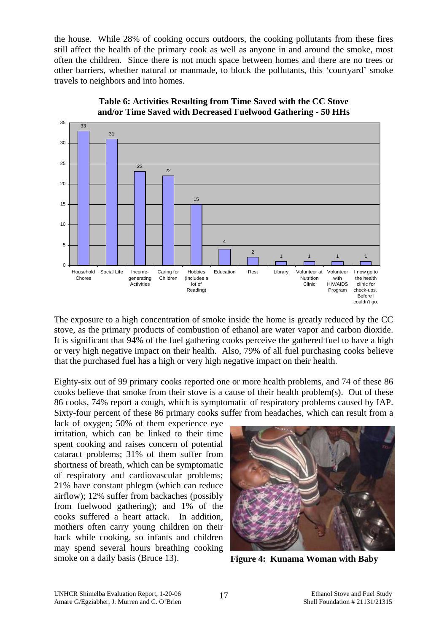the house. While 28% of cooking occurs outdoors, the cooking pollutants from these fires still affect the health of the primary cook as well as anyone in and around the smoke, most often the children. Since there is not much space between homes and there are no trees or other barriers, whether natural or manmade, to block the pollutants, this 'courtyard' smoke travels to neighbors and into homes.



**Table 6: Activities Resulting from Time Saved with the CC Stove and/or Time Saved with Decreased Fuelwood Gathering - 50 HHs**

The exposure to a high concentration of smoke inside the home is greatly reduced by the CC stove, as the primary products of combustion of ethanol are water vapor and carbon dioxide. It is significant that 94% of the fuel gathering cooks perceive the gathered fuel to have a high or very high negative impact on their health. Also, 79% of all fuel purchasing cooks believe that the purchased fuel has a high or very high negative impact on their health.

Eighty-six out of 99 primary cooks reported one or more health problems, and 74 of these 86 cooks believe that smoke from their stove is a cause of their health problem(s). Out of these 86 cooks, 74% report a cough, which is symptomatic of respiratory problems caused by IAP. Sixty-four percent of these 86 primary cooks suffer from headaches, which can result from a

lack of oxygen; 50% of them experience eye irritation, which can be linked to their time spent cooking and raises concern of potential cataract problems; 31% of them suffer from shortness of breath, which can be symptomatic of respiratory and cardiovascular problems; 21% have constant phlegm (which can reduce airflow); 12% suffer from backaches (possibly from fuelwood gathering); and 1% of the cooks suffered a heart attack. In addition, mothers often carry young children on their back while cooking, so infants and children may spend several hours breathing cooking smoke on a daily basis (Bruce 13).



**Figure 4: Kunama Woman with Baby**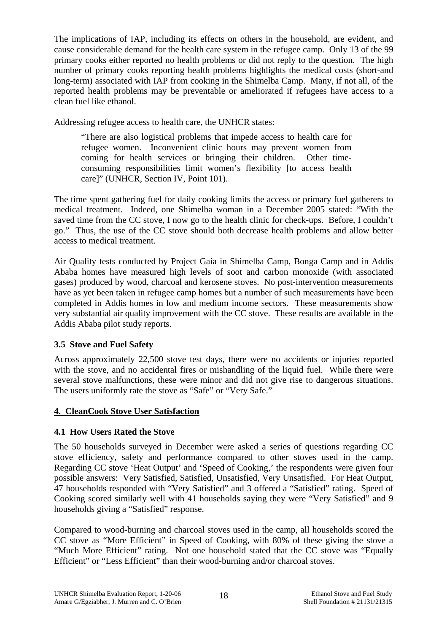The implications of IAP, including its effects on others in the household, are evident, and cause considerable demand for the health care system in the refugee camp. Only 13 of the 99 primary cooks either reported no health problems or did not reply to the question. The high number of primary cooks reporting health problems highlights the medical costs (short-and long-term) associated with IAP from cooking in the Shimelba Camp. Many, if not all, of the reported health problems may be preventable or ameliorated if refugees have access to a clean fuel like ethanol.

Addressing refugee access to health care, the UNHCR states:

"There are also logistical problems that impede access to health care for refugee women. Inconvenient clinic hours may prevent women from coming for health services or bringing their children. Other timeconsuming responsibilities limit women's flexibility [to access health care]" (UNHCR, Section IV, Point 101).

The time spent gathering fuel for daily cooking limits the access or primary fuel gatherers to medical treatment. Indeed, one Shimelba woman in a December 2005 stated: "With the saved time from the CC stove, I now go to the health clinic for check-ups. Before, I couldn't go." Thus, the use of the CC stove should both decrease health problems and allow better access to medical treatment.

Air Quality tests conducted by Project Gaia in Shimelba Camp, Bonga Camp and in Addis Ababa homes have measured high levels of soot and carbon monoxide (with associated gases) produced by wood, charcoal and kerosene stoves. No post-intervention measurements have as yet been taken in refugee camp homes but a number of such measurements have been completed in Addis homes in low and medium income sectors. These measurements show very substantial air quality improvement with the CC stove. These results are available in the Addis Ababa pilot study reports.

# **3.5 Stove and Fuel Safety**

Across approximately 22,500 stove test days, there were no accidents or injuries reported with the stove, and no accidental fires or mishandling of the liquid fuel. While there were several stove malfunctions, these were minor and did not give rise to dangerous situations. The users uniformly rate the stove as "Safe" or "Very Safe."

# **4. CleanCook Stove User Satisfaction**

# **4.1 How Users Rated the Stove**

The 50 households surveyed in December were asked a series of questions regarding CC stove efficiency, safety and performance compared to other stoves used in the camp. Regarding CC stove 'Heat Output' and 'Speed of Cooking,' the respondents were given four possible answers: Very Satisfied, Satisfied, Unsatisfied, Very Unsatisfied. For Heat Output, 47 households responded with "Very Satisfied" and 3 offered a "Satisfied" rating. Speed of Cooking scored similarly well with 41 households saying they were "Very Satisfied" and 9 households giving a "Satisfied" response.

Compared to wood-burning and charcoal stoves used in the camp, all households scored the CC stove as "More Efficient" in Speed of Cooking, with 80% of these giving the stove a "Much More Efficient" rating. Not one household stated that the CC stove was "Equally Efficient" or "Less Efficient" than their wood-burning and/or charcoal stoves.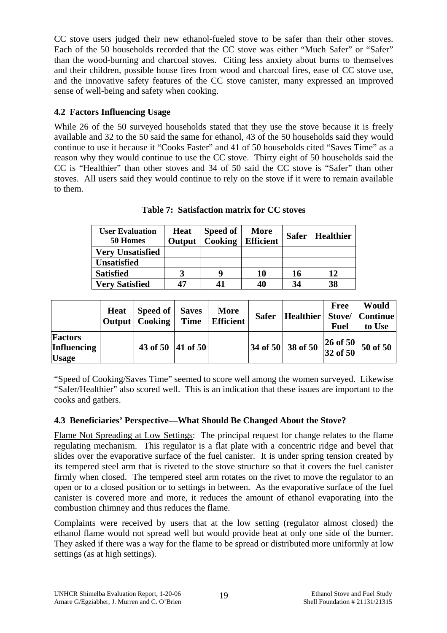CC stove users judged their new ethanol-fueled stove to be safer than their other stoves. Each of the 50 households recorded that the CC stove was either "Much Safer" or "Safer" than the wood-burning and charcoal stoves. Citing less anxiety about burns to themselves and their children, possible house fires from wood and charcoal fires, ease of CC stove use, and the innovative safety features of the CC stove canister, many expressed an improved sense of well-being and safety when cooking.

# **4.2 Factors Influencing Usage**

While 26 of the 50 surveyed households stated that they use the stove because it is freely available and 32 to the 50 said the same for ethanol, 43 of the 50 households said they would continue to use it because it "Cooks Faster" and 41 of 50 households cited "Saves Time" as a reason why they would continue to use the CC stove. Thirty eight of 50 households said the CC is "Healthier" than other stoves and 34 of 50 said the CC stove is "Safer" than other stoves. All users said they would continue to rely on the stove if it were to remain available to them.

**Table 7: Satisfaction matrix for CC stoves** 

| <b>User Evaluation</b><br>50 Homes | <b>Heat</b><br>Output | <b>Speed of</b><br>Cooking | <b>More</b><br><b>Efficient</b> | <b>Safer</b> | <b>Healthier</b> |
|------------------------------------|-----------------------|----------------------------|---------------------------------|--------------|------------------|
| <b>Very Unsatisfied</b>            |                       |                            |                                 |              |                  |
| <b>Unsatisfied</b>                 |                       |                            |                                 |              |                  |
| <b>Satisfied</b>                   |                       |                            | 10                              | 16           | 12               |
| <b>Very Satisfied</b>              | 47                    | 41                         | 40                              | 34           | 38               |

|                                        | <b>Heat</b> | Speed of Saves<br>Output   Cooking | Time | More<br><b>Efficient</b> | <b>Safer</b> | Healthier Stove/ Continue                                                               | Free<br><b>Fuel</b> | Would<br>to Use |
|----------------------------------------|-------------|------------------------------------|------|--------------------------|--------------|-----------------------------------------------------------------------------------------|---------------------|-----------------|
| Factors<br>Influencing<br><b>Usage</b> |             | 43 of 50   41 of 50                |      |                          |              | 34 of 50 38 of 50 $\begin{vmatrix} 26 & 66 & 50 \\ 32 & 66 & 50 \end{vmatrix}$ 50 of 50 |                     |                 |

"Speed of Cooking/Saves Time" seemed to score well among the women surveyed. Likewise "Safer/Healthier" also scored well. This is an indication that these issues are important to the cooks and gathers.

# **4.3 Beneficiaries' Perspective—What Should Be Changed About the Stove?**

Flame Not Spreading at Low Settings: The principal request for change relates to the flame regulating mechanism. This regulator is a flat plate with a concentric ridge and bevel that slides over the evaporative surface of the fuel canister. It is under spring tension created by its tempered steel arm that is riveted to the stove structure so that it covers the fuel canister firmly when closed. The tempered steel arm rotates on the rivet to move the regulator to an open or to a closed position or to settings in between. As the evaporative surface of the fuel canister is covered more and more, it reduces the amount of ethanol evaporating into the combustion chimney and thus reduces the flame.

Complaints were received by users that at the low setting (regulator almost closed) the ethanol flame would not spread well but would provide heat at only one side of the burner. They asked if there was a way for the flame to be spread or distributed more uniformly at low settings (as at high settings).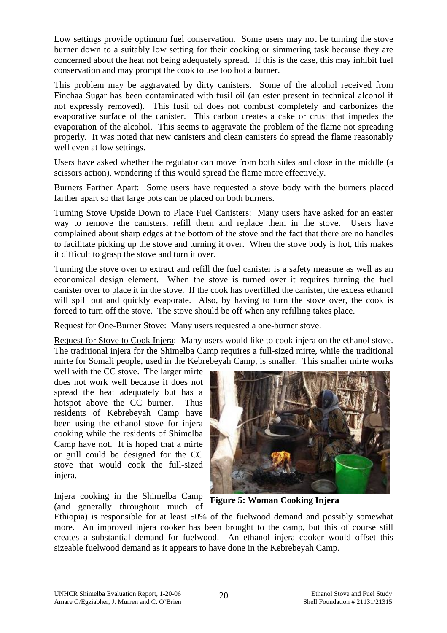Low settings provide optimum fuel conservation. Some users may not be turning the stove burner down to a suitably low setting for their cooking or simmering task because they are concerned about the heat not being adequately spread. If this is the case, this may inhibit fuel conservation and may prompt the cook to use too hot a burner.

This problem may be aggravated by dirty canisters. Some of the alcohol received from Finchaa Sugar has been contaminated with fusil oil (an ester present in technical alcohol if not expressly removed). This fusil oil does not combust completely and carbonizes the evaporative surface of the canister. This carbon creates a cake or crust that impedes the evaporation of the alcohol. This seems to aggravate the problem of the flame not spreading properly. It was noted that new canisters and clean canisters do spread the flame reasonably well even at low settings.

Users have asked whether the regulator can move from both sides and close in the middle (a scissors action), wondering if this would spread the flame more effectively.

Burners Farther Apart: Some users have requested a stove body with the burners placed farther apart so that large pots can be placed on both burners.

Turning Stove Upside Down to Place Fuel Canisters: Many users have asked for an easier way to remove the canisters, refill them and replace them in the stove. Users have complained about sharp edges at the bottom of the stove and the fact that there are no handles to facilitate picking up the stove and turning it over. When the stove body is hot, this makes it difficult to grasp the stove and turn it over.

Turning the stove over to extract and refill the fuel canister is a safety measure as well as an economical design element. When the stove is turned over it requires turning the fuel canister over to place it in the stove. If the cook has overfilled the canister, the excess ethanol will spill out and quickly evaporate. Also, by having to turn the stove over, the cook is forced to turn off the stove. The stove should be off when any refilling takes place.

Request for One-Burner Stove: Many users requested a one-burner stove.

Request for Stove to Cook Injera: Many users would like to cook injera on the ethanol stove. The traditional injera for the Shimelba Camp requires a full-sized mirte, while the traditional mirte for Somali people, used in the Kebrebeyah Camp, is smaller. This smaller mirte works

well with the CC stove. The larger mirte does not work well because it does not spread the heat adequately but has a hotspot above the CC burner. Thus residents of Kebrebeyah Camp have been using the ethanol stove for injera cooking while the residents of Shimelba Camp have not. It is hoped that a mirte or grill could be designed for the CC stove that would cook the full-sized injera.

Injera cooking in the Shimelba Camp **Figure 5: Woman Cooking Injera** (and generally throughout much of



Ethiopia) is responsible for at least 50% of the fuelwood demand and possibly somewhat more. An improved injera cooker has been brought to the camp, but this of course still creates a substantial demand for fuelwood. An ethanol injera cooker would offset this sizeable fuelwood demand as it appears to have done in the Kebrebeyah Camp.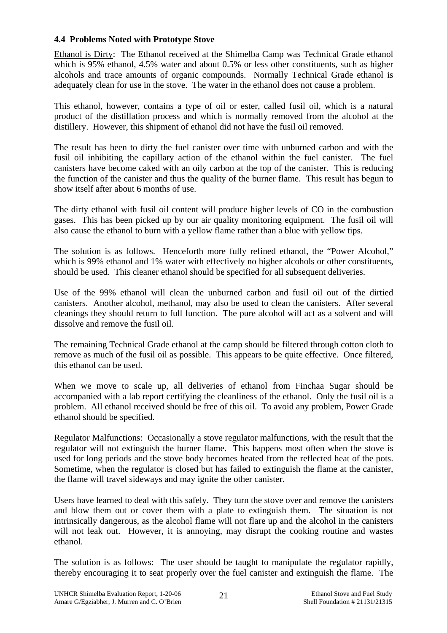### **4.4 Problems Noted with Prototype Stove**

Ethanol is Dirty: The Ethanol received at the Shimelba Camp was Technical Grade ethanol which is 95% ethanol, 4.5% water and about 0.5% or less other constituents, such as higher alcohols and trace amounts of organic compounds. Normally Technical Grade ethanol is adequately clean for use in the stove. The water in the ethanol does not cause a problem.

This ethanol, however, contains a type of oil or ester, called fusil oil, which is a natural product of the distillation process and which is normally removed from the alcohol at the distillery. However, this shipment of ethanol did not have the fusil oil removed.

The result has been to dirty the fuel canister over time with unburned carbon and with the fusil oil inhibiting the capillary action of the ethanol within the fuel canister. The fuel canisters have become caked with an oily carbon at the top of the canister. This is reducing the function of the canister and thus the quality of the burner flame. This result has begun to show itself after about 6 months of use.

The dirty ethanol with fusil oil content will produce higher levels of CO in the combustion gases. This has been picked up by our air quality monitoring equipment. The fusil oil will also cause the ethanol to burn with a yellow flame rather than a blue with yellow tips.

The solution is as follows. Henceforth more fully refined ethanol, the "Power Alcohol," which is 99% ethanol and 1% water with effectively no higher alcohols or other constituents, should be used. This cleaner ethanol should be specified for all subsequent deliveries.

Use of the 99% ethanol will clean the unburned carbon and fusil oil out of the dirtied canisters. Another alcohol, methanol, may also be used to clean the canisters. After several cleanings they should return to full function. The pure alcohol will act as a solvent and will dissolve and remove the fusil oil.

The remaining Technical Grade ethanol at the camp should be filtered through cotton cloth to remove as much of the fusil oil as possible. This appears to be quite effective. Once filtered, this ethanol can be used.

When we move to scale up, all deliveries of ethanol from Finchaa Sugar should be accompanied with a lab report certifying the cleanliness of the ethanol. Only the fusil oil is a problem. All ethanol received should be free of this oil. To avoid any problem, Power Grade ethanol should be specified.

Regulator Malfunctions: Occasionally a stove regulator malfunctions, with the result that the regulator will not extinguish the burner flame. This happens most often when the stove is used for long periods and the stove body becomes heated from the reflected heat of the pots. Sometime, when the regulator is closed but has failed to extinguish the flame at the canister, the flame will travel sideways and may ignite the other canister.

Users have learned to deal with this safely. They turn the stove over and remove the canisters and blow them out or cover them with a plate to extinguish them. The situation is not intrinsically dangerous, as the alcohol flame will not flare up and the alcohol in the canisters will not leak out. However, it is annoying, may disrupt the cooking routine and wastes ethanol.

The solution is as follows: The user should be taught to manipulate the regulator rapidly, thereby encouraging it to seat properly over the fuel canister and extinguish the flame. The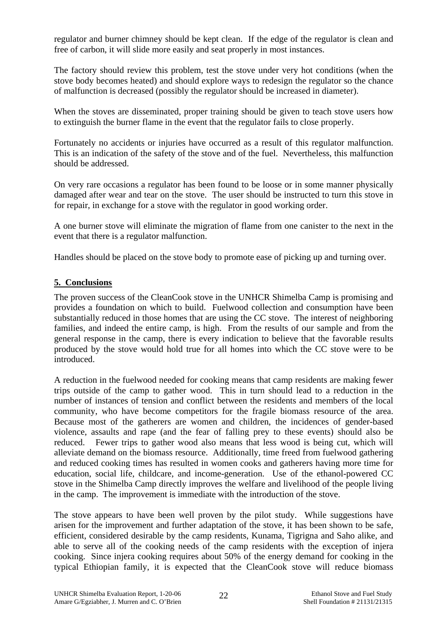regulator and burner chimney should be kept clean. If the edge of the regulator is clean and free of carbon, it will slide more easily and seat properly in most instances.

The factory should review this problem, test the stove under very hot conditions (when the stove body becomes heated) and should explore ways to redesign the regulator so the chance of malfunction is decreased (possibly the regulator should be increased in diameter).

When the stoves are disseminated, proper training should be given to teach stove users how to extinguish the burner flame in the event that the regulator fails to close properly.

Fortunately no accidents or injuries have occurred as a result of this regulator malfunction. This is an indication of the safety of the stove and of the fuel. Nevertheless, this malfunction should be addressed.

On very rare occasions a regulator has been found to be loose or in some manner physically damaged after wear and tear on the stove. The user should be instructed to turn this stove in for repair, in exchange for a stove with the regulator in good working order.

A one burner stove will eliminate the migration of flame from one canister to the next in the event that there is a regulator malfunction.

Handles should be placed on the stove body to promote ease of picking up and turning over.

### **5. Conclusions**

The proven success of the CleanCook stove in the UNHCR Shimelba Camp is promising and provides a foundation on which to build. Fuelwood collection and consumption have been substantially reduced in those homes that are using the CC stove. The interest of neighboring families, and indeed the entire camp, is high. From the results of our sample and from the general response in the camp, there is every indication to believe that the favorable results produced by the stove would hold true for all homes into which the CC stove were to be introduced.

A reduction in the fuelwood needed for cooking means that camp residents are making fewer trips outside of the camp to gather wood. This in turn should lead to a reduction in the number of instances of tension and conflict between the residents and members of the local community, who have become competitors for the fragile biomass resource of the area. Because most of the gatherers are women and children, the incidences of gender-based violence, assaults and rape (and the fear of falling prey to these events) should also be reduced. Fewer trips to gather wood also means that less wood is being cut, which will alleviate demand on the biomass resource. Additionally, time freed from fuelwood gathering and reduced cooking times has resulted in women cooks and gatherers having more time for education, social life, childcare, and income-generation. Use of the ethanol-powered CC stove in the Shimelba Camp directly improves the welfare and livelihood of the people living in the camp. The improvement is immediate with the introduction of the stove.

The stove appears to have been well proven by the pilot study. While suggestions have arisen for the improvement and further adaptation of the stove, it has been shown to be safe, efficient, considered desirable by the camp residents, Kunama, Tigrigna and Saho alike, and able to serve all of the cooking needs of the camp residents with the exception of injera cooking. Since injera cooking requires about 50% of the energy demand for cooking in the typical Ethiopian family, it is expected that the CleanCook stove will reduce biomass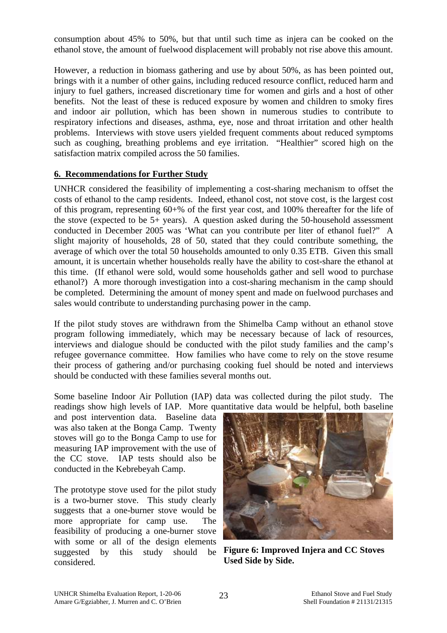consumption about 45% to 50%, but that until such time as injera can be cooked on the ethanol stove, the amount of fuelwood displacement will probably not rise above this amount.

However, a reduction in biomass gathering and use by about 50%, as has been pointed out, brings with it a number of other gains, including reduced resource conflict, reduced harm and injury to fuel gathers, increased discretionary time for women and girls and a host of other benefits. Not the least of these is reduced exposure by women and children to smoky fires and indoor air pollution, which has been shown in numerous studies to contribute to respiratory infections and diseases, asthma, eye, nose and throat irritation and other health problems. Interviews with stove users yielded frequent comments about reduced symptoms such as coughing, breathing problems and eye irritation. "Healthier" scored high on the satisfaction matrix compiled across the 50 families.

### **6. Recommendations for Further Study**

UNHCR considered the feasibility of implementing a cost-sharing mechanism to offset the costs of ethanol to the camp residents. Indeed, ethanol cost, not stove cost, is the largest cost of this program, representing 60+% of the first year cost, and 100% thereafter for the life of the stove (expected to be  $5+$  years). A question asked during the 50-household assessment conducted in December 2005 was 'What can you contribute per liter of ethanol fuel?" A slight majority of households, 28 of 50, stated that they could contribute something, the average of which over the total 50 households amounted to only 0.35 ETB. Given this small amount, it is uncertain whether households really have the ability to cost-share the ethanol at this time. (If ethanol were sold, would some households gather and sell wood to purchase ethanol?) A more thorough investigation into a cost-sharing mechanism in the camp should be completed. Determining the amount of money spent and made on fuelwood purchases and sales would contribute to understanding purchasing power in the camp.

If the pilot study stoves are withdrawn from the Shimelba Camp without an ethanol stove program following immediately, which may be necessary because of lack of resources, interviews and dialogue should be conducted with the pilot study families and the camp's refugee governance committee. How families who have come to rely on the stove resume their process of gathering and/or purchasing cooking fuel should be noted and interviews should be conducted with these families several months out.

Some baseline Indoor Air Pollution (IAP) data was collected during the pilot study. The readings show high levels of IAP. More quantitative data would be helpful, both baseline

and post intervention data. Baseline data was also taken at the Bonga Camp. Twenty stoves will go to the Bonga Camp to use for measuring IAP improvement with the use of the CC stove. IAP tests should also be conducted in the Kebrebeyah Camp.

The prototype stove used for the pilot study is a two-burner stove. This study clearly suggests that a one-burner stove would be more appropriate for camp use. The feasibility of producing a one-burner stove with some or all of the design elements suggested by this study should be considered.



**Figure 6: Improved Injera and CC Stoves Used Side by Side.**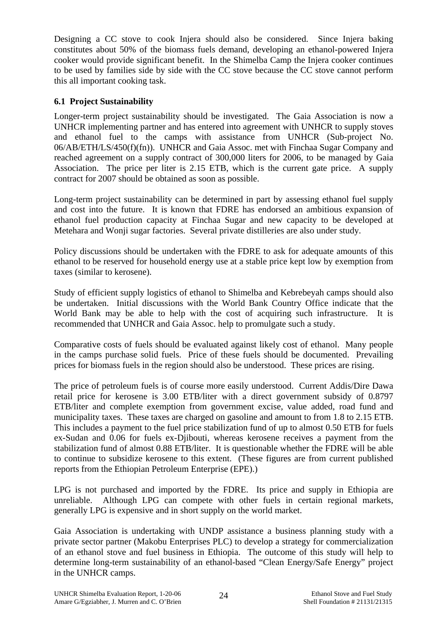Designing a CC stove to cook Injera should also be considered. Since Injera baking constitutes about 50% of the biomass fuels demand, developing an ethanol-powered Injera cooker would provide significant benefit. In the Shimelba Camp the Injera cooker continues to be used by families side by side with the CC stove because the CC stove cannot perform this all important cooking task.

# **6.1 Project Sustainability**

Longer-term project sustainability should be investigated. The Gaia Association is now a UNHCR implementing partner and has entered into agreement with UNHCR to supply stoves and ethanol fuel to the camps with assistance from UNHCR (Sub-project No. 06/AB/ETH/LS/450(f)(fn)). UNHCR and Gaia Assoc. met with Finchaa Sugar Company and reached agreement on a supply contract of 300,000 liters for 2006, to be managed by Gaia Association. The price per liter is 2.15 ETB, which is the current gate price. A supply contract for 2007 should be obtained as soon as possible.

Long-term project sustainability can be determined in part by assessing ethanol fuel supply and cost into the future. It is known that FDRE has endorsed an ambitious expansion of ethanol fuel production capacity at Finchaa Sugar and new capacity to be developed at Metehara and Wonji sugar factories. Several private distilleries are also under study.

Policy discussions should be undertaken with the FDRE to ask for adequate amounts of this ethanol to be reserved for household energy use at a stable price kept low by exemption from taxes (similar to kerosene).

Study of efficient supply logistics of ethanol to Shimelba and Kebrebeyah camps should also be undertaken. Initial discussions with the World Bank Country Office indicate that the World Bank may be able to help with the cost of acquiring such infrastructure. It is recommended that UNHCR and Gaia Assoc. help to promulgate such a study.

Comparative costs of fuels should be evaluated against likely cost of ethanol. Many people in the camps purchase solid fuels. Price of these fuels should be documented. Prevailing prices for biomass fuels in the region should also be understood. These prices are rising.

The price of petroleum fuels is of course more easily understood. Current Addis/Dire Dawa retail price for kerosene is 3.00 ETB/liter with a direct government subsidy of 0.8797 ETB/liter and complete exemption from government excise, value added, road fund and municipality taxes. These taxes are charged on gasoline and amount to from 1.8 to 2.15 ETB. This includes a payment to the fuel price stabilization fund of up to almost 0.50 ETB for fuels ex-Sudan and 0.06 for fuels ex-Djibouti, whereas kerosene receives a payment from the stabilization fund of almost 0.88 ETB/liter. It is questionable whether the FDRE will be able to continue to subsidize kerosene to this extent. (These figures are from current published reports from the Ethiopian Petroleum Enterprise (EPE).)

LPG is not purchased and imported by the FDRE. Its price and supply in Ethiopia are unreliable. Although LPG can compete with other fuels in certain regional markets, generally LPG is expensive and in short supply on the world market.

Gaia Association is undertaking with UNDP assistance a business planning study with a private sector partner (Makobu Enterprises PLC) to develop a strategy for commercialization of an ethanol stove and fuel business in Ethiopia. The outcome of this study will help to determine long-term sustainability of an ethanol-based "Clean Energy/Safe Energy" project in the UNHCR camps.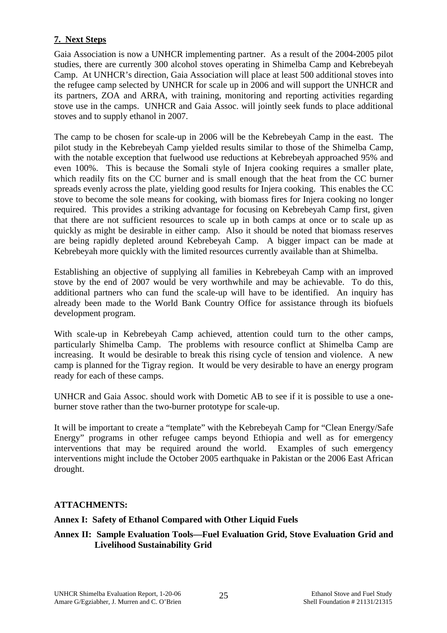# **7. Next Steps**

Gaia Association is now a UNHCR implementing partner. As a result of the 2004-2005 pilot studies, there are currently 300 alcohol stoves operating in Shimelba Camp and Kebrebeyah Camp. At UNHCR's direction, Gaia Association will place at least 500 additional stoves into the refugee camp selected by UNHCR for scale up in 2006 and will support the UNHCR and its partners, ZOA and ARRA, with training, monitoring and reporting activities regarding stove use in the camps. UNHCR and Gaia Assoc. will jointly seek funds to place additional stoves and to supply ethanol in 2007.

The camp to be chosen for scale-up in 2006 will be the Kebrebeyah Camp in the east. The pilot study in the Kebrebeyah Camp yielded results similar to those of the Shimelba Camp, with the notable exception that fuelwood use reductions at Kebrebeyah approached 95% and even 100%. This is because the Somali style of Injera cooking requires a smaller plate, which readily fits on the CC burner and is small enough that the heat from the CC burner spreads evenly across the plate, yielding good results for Injera cooking. This enables the CC stove to become the sole means for cooking, with biomass fires for Injera cooking no longer required. This provides a striking advantage for focusing on Kebrebeyah Camp first, given that there are not sufficient resources to scale up in both camps at once or to scale up as quickly as might be desirable in either camp. Also it should be noted that biomass reserves are being rapidly depleted around Kebrebeyah Camp. A bigger impact can be made at Kebrebeyah more quickly with the limited resources currently available than at Shimelba.

Establishing an objective of supplying all families in Kebrebeyah Camp with an improved stove by the end of 2007 would be very worthwhile and may be achievable. To do this, additional partners who can fund the scale-up will have to be identified. An inquiry has already been made to the World Bank Country Office for assistance through its biofuels development program.

With scale-up in Kebrebeyah Camp achieved, attention could turn to the other camps, particularly Shimelba Camp. The problems with resource conflict at Shimelba Camp are increasing. It would be desirable to break this rising cycle of tension and violence. A new camp is planned for the Tigray region. It would be very desirable to have an energy program ready for each of these camps.

UNHCR and Gaia Assoc. should work with Dometic AB to see if it is possible to use a oneburner stove rather than the two-burner prototype for scale-up.

It will be important to create a "template" with the Kebrebeyah Camp for "Clean Energy/Safe Energy" programs in other refugee camps beyond Ethiopia and well as for emergency interventions that may be required around the world. Examples of such emergency interventions might include the October 2005 earthquake in Pakistan or the 2006 East African drought.

### **ATTACHMENTS:**

# **Annex I: Safety of Ethanol Compared with Other Liquid Fuels**

### **Annex II: Sample Evaluation Tools—Fuel Evaluation Grid, Stove Evaluation Grid and Livelihood Sustainability Grid**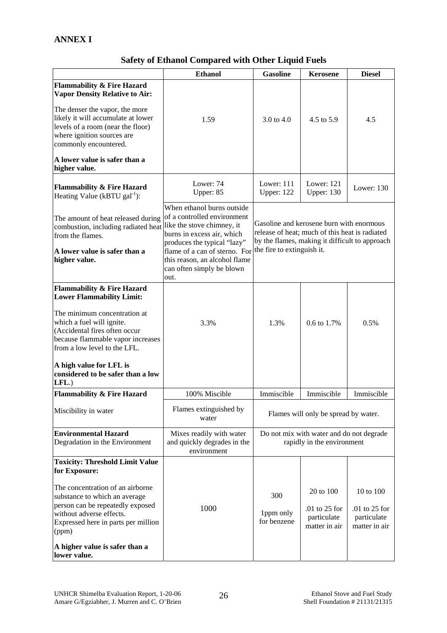|                                                                                                                                                                                                                                                             | <b>Ethanol</b>                                                                                                                                                                                                                                              | <b>Gasoline</b>                                                                                                                                                            | <b>Kerosene</b>                                              | <b>Diesel</b>                                                |  |  |
|-------------------------------------------------------------------------------------------------------------------------------------------------------------------------------------------------------------------------------------------------------------|-------------------------------------------------------------------------------------------------------------------------------------------------------------------------------------------------------------------------------------------------------------|----------------------------------------------------------------------------------------------------------------------------------------------------------------------------|--------------------------------------------------------------|--------------------------------------------------------------|--|--|
| <b>Flammability &amp; Fire Hazard</b>                                                                                                                                                                                                                       |                                                                                                                                                                                                                                                             |                                                                                                                                                                            |                                                              |                                                              |  |  |
| <b>Vapor Density Relative to Air:</b><br>The denser the vapor, the more<br>likely it will accumulate at lower<br>levels of a room (near the floor)<br>where ignition sources are<br>commonly encountered.<br>A lower value is safer than a<br>higher value. | 1.59                                                                                                                                                                                                                                                        | 3.0 to 4.0                                                                                                                                                                 | 4.5 to 5.9                                                   | 4.5                                                          |  |  |
| <b>Flammability &amp; Fire Hazard</b><br>Heating Value ( $kBTU gal^{-1}$ ):                                                                                                                                                                                 | Lower: 74<br>Upper: 85                                                                                                                                                                                                                                      | Lower: 111<br>Upper: 122                                                                                                                                                   | Lower: $121$<br><b>Upper: 130</b>                            | Lower: 130                                                   |  |  |
| The amount of heat released during<br>combustion, including radiated heat<br>from the flames.<br>A lower value is safer than a<br>higher value.                                                                                                             | When ethanol burns outside<br>of a controlled environment<br>like the stove chimney, it<br>burns in excess air, which<br>produces the typical "lazy"<br>flame of a can of sterno. For<br>this reason, an alcohol flame<br>can often simply be blown<br>out. | Gasoline and kerosene burn with enormous<br>release of heat; much of this heat is radiated<br>by the flames, making it difficult to approach<br>the fire to extinguish it. |                                                              |                                                              |  |  |
| <b>Flammability &amp; Fire Hazard</b><br><b>Lower Flammability Limit:</b><br>The minimum concentration at<br>which a fuel will ignite.<br>(Accidental fires often occur<br>because flammable vapor increases<br>from a low level to the LFL.                | 3.3%                                                                                                                                                                                                                                                        | 1.3%                                                                                                                                                                       | 0.6 to 1.7%                                                  | 0.5%                                                         |  |  |
| A high value for LFL is<br>considered to be safer than a low<br>LFL.                                                                                                                                                                                        |                                                                                                                                                                                                                                                             |                                                                                                                                                                            |                                                              |                                                              |  |  |
| <b>Flammability &amp; Fire Hazard</b>                                                                                                                                                                                                                       | 100% Miscible                                                                                                                                                                                                                                               | Immiscible                                                                                                                                                                 | Immiscible                                                   | Immiscible                                                   |  |  |
| Miscibility in water                                                                                                                                                                                                                                        | Flames extinguished by<br>water                                                                                                                                                                                                                             |                                                                                                                                                                            | Flames will only be spread by water.                         |                                                              |  |  |
| <b>Environmental Hazard</b><br>Degradation in the Environment                                                                                                                                                                                               | Mixes readily with water<br>and quickly degrades in the<br>environment                                                                                                                                                                                      | Do not mix with water and do not degrade<br>rapidly in the environment                                                                                                     |                                                              |                                                              |  |  |
| <b>Toxicity: Threshold Limit Value</b><br>for Exposure:                                                                                                                                                                                                     |                                                                                                                                                                                                                                                             |                                                                                                                                                                            |                                                              |                                                              |  |  |
| The concentration of an airborne<br>substance to which an average<br>person can be repeatedly exposed<br>without adverse effects.<br>Expressed here in parts per million<br>(ppm)<br>A higher value is safer than a                                         | 1000                                                                                                                                                                                                                                                        | 300<br>1ppm only<br>for benzene                                                                                                                                            | 20 to 100<br>$.01$ to 25 for<br>particulate<br>matter in air | 10 to 100<br>$.01$ to 25 for<br>particulate<br>matter in air |  |  |
| lower value.                                                                                                                                                                                                                                                |                                                                                                                                                                                                                                                             |                                                                                                                                                                            |                                                              |                                                              |  |  |

### **Safety of Ethanol Compared with Other Liquid Fuels**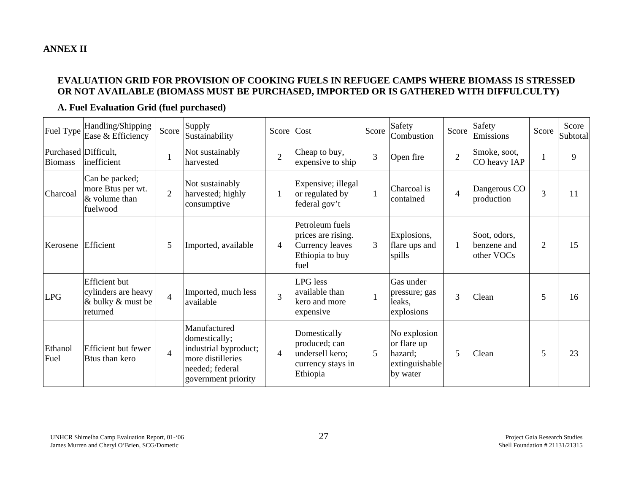### **ANNEX II**

### **EVALUATION GRID FOR PROVISION OF COOKING FUELS IN REFUGEE CAMPS WHERE BIOMASS IS STRESSED OR NOT AVAILABLE (BIOMASS MUST BE PURCHASED, IMPORTED OR IS GATHERED WITH DIFFULCULTY)**

### **A. Fuel Evaluation Grid (fuel purchased)**

| Fuel Type                              | Handling/Shipping<br>Ease & Efficiency                                       | Score          | Supply<br>Sustainability                                                                                              | Score                                                                                                                                                   | Cost                                                                              | Score                                                                   | Safety<br>Combustion                                                 | Score                        | Safety<br>Emissions        | Score | Score<br>Subtotal |
|----------------------------------------|------------------------------------------------------------------------------|----------------|-----------------------------------------------------------------------------------------------------------------------|---------------------------------------------------------------------------------------------------------------------------------------------------------|-----------------------------------------------------------------------------------|-------------------------------------------------------------------------|----------------------------------------------------------------------|------------------------------|----------------------------|-------|-------------------|
| Purchased Difficult,<br><b>Biomass</b> | inefficient                                                                  |                | Not sustainably<br>harvested                                                                                          | Cheap to buy,<br>$\overline{2}$<br>$\overline{3}$<br>Open fire<br>expensive to ship                                                                     |                                                                                   |                                                                         | $\overline{2}$                                                       | Smoke, soot,<br>CO heavy IAP | $\mathbf{1}$               | 9     |                   |
| Charcoal                               | Can be packed;<br>more Btus per wt.<br>& volume than<br>fuelwood             | $\overline{2}$ | Not sustainably<br>harvested; highly<br>consumptive                                                                   | $\mathbf{1}$                                                                                                                                            | Expensive; illegal<br>or regulated by<br>federal gov't                            | Charcoal is<br>$\overline{4}$<br>$\mathbf{1}$<br>contained              |                                                                      |                              | Dangerous CO<br>production | 3     | 11                |
| Kerosene                               | Efficient                                                                    | 5              | Imported, available                                                                                                   | Petroleum fuels<br>Explosions,<br>prices are rising.<br>3<br>flare ups and<br>Currency leaves<br>$\mathbf{1}$<br>4<br>Ethiopia to buy<br>spills<br>fuel |                                                                                   | Soot, odors,<br>benzene and<br>other VOCs                               | $\overline{2}$                                                       | 15                           |                            |       |                   |
| <b>LPG</b>                             | <b>Efficient</b> but<br>cylinders are heavy<br>& bulky & must be<br>returned | $\overline{4}$ | Imported, much less<br>available                                                                                      | $\overline{3}$                                                                                                                                          | <b>LPG</b> less<br>available than<br>kero and more<br>expensive                   | Gas under<br>pressure; gas<br>3<br>$\mathbf{1}$<br>leaks,<br>explosions |                                                                      | Clean                        | 5                          | 16    |                   |
| Ethanol<br>Fuel                        | Efficient but fewer<br>Btus than kero                                        |                | Manufactured<br>domestically;<br>industrial byproduct;<br>more distilleries<br>needed; federal<br>government priority | $\overline{4}$                                                                                                                                          | Domestically<br>produced; can<br>undersell kero;<br>currency stays in<br>Ethiopia | 5                                                                       | No explosion<br>or flare up<br>hazard;<br>extinguishable<br>by water | 5                            | Clean                      | 5     | 23                |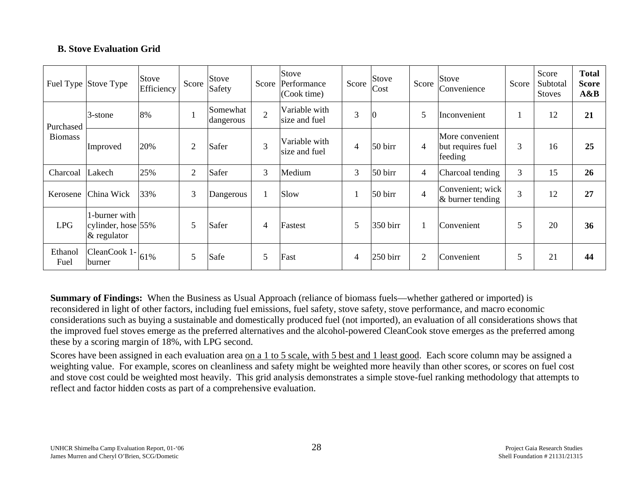### **B. Stove Evaluation Grid**

|                 | Fuel Type Stove Type                                      | Stove<br>Efficiency | Score          | Stove<br>Safety       |                | Stove<br>Score Performance<br>(Cook time) | Score | Stove<br>Cost | Score                 | Stove<br>Convenience                            | Score | Score<br>Subtotal<br><b>Stoves</b> | <b>Total</b><br><b>Score</b><br>A&B |
|-----------------|-----------------------------------------------------------|---------------------|----------------|-----------------------|----------------|-------------------------------------------|-------|---------------|-----------------------|-------------------------------------------------|-------|------------------------------------|-------------------------------------|
| Purchased       | 3-stone                                                   | 8%                  |                | Somewhat<br>dangerous | $\overline{2}$ | Variable with<br>size and fuel            | 3     |               | 5                     | Inconvenient                                    |       | 12                                 | 21                                  |
| <b>Biomass</b>  | Improved                                                  | 20%                 | $\overline{2}$ | Safer                 | 3              | Variable with<br>size and fuel            | 4     | 50 birr       | 4                     | More convenient<br>but requires fuel<br>feeding | 3     | 16                                 | 25                                  |
| Charcoal        | Lakech                                                    | 25%                 | $\overline{2}$ | Safer                 | 3              | Medium                                    | 3     | 50 birr       | Charcoal tending<br>4 |                                                 | 3     | 15                                 | 26                                  |
| Kerosene        | China Wick                                                | 33%                 | 3              | Dangerous             |                | Slow                                      |       | 50 birr       | $\overline{4}$        | Convenient; wick<br>$\&$ burner tending         | 3     | 12                                 | 27                                  |
| <b>LPG</b>      | 1-burner with<br>cylinder, hose $ 55\% $<br>$&$ regulator |                     | 5              | Safer                 | $\overline{4}$ | Fastest                                   | 5     | 350 birr      |                       | Convenient                                      | 5     | 20                                 | 36                                  |
| Ethanol<br>Fuel | CleanCook 1-<br><b>burner</b>                             | 61%                 | 5              | Safe                  | 5              | Fast                                      | 4     | $250$ birr    | $\overline{2}$        | Convenient                                      | 5     | 21                                 | 44                                  |

**Summary of Findings:** When the Business as Usual Approach (reliance of biomass fuels—whether gathered or imported) is reconsidered in light of other factors, including fuel emissions, fuel safety, stove safety, stove performance, and macro economic considerations such as buying a sustainable and domestically produced fuel (not imported), an evaluation of all considerations shows that the improved fuel stoves emerge as the preferred alternatives and the alcohol-powered CleanCook stove emerges as the preferred among these by a scoring margin of 18%, with LPG second.

Scores have been assigned in each evaluation area on a 1 to 5 scale, with 5 best and 1 least good. Each score column may be assigned a weighting value. For example, scores on cleanliness and safety might be weighted more heavily than other scores, or scores on fuel cost and stove cost could be weighted most heavily. This grid analysis demonstrates a simple stove-fuel ranking methodology that attempts to reflect and factor hidden costs as part of a comprehensive evaluation.